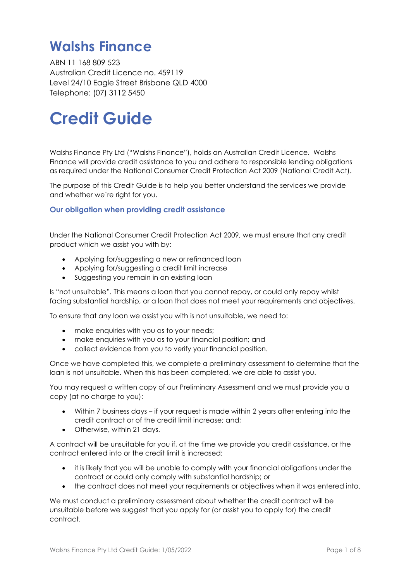# **Walshs Finance**

ABN 11 168 809 523 Australian Credit Licence no. 459119 Level 24/10 Eagle Street Brisbane QLD 4000 Telephone: (07) 3112 5450

# **Credit Guide**

Walshs Finance Pty Ltd ("Walshs Finance"), holds an Australian Credit Licence. Walshs Finance will provide credit assistance to you and adhere to responsible lending obligations as required under the National Consumer Credit Protection Act 2009 (National Credit Act).

The purpose of this Credit Guide is to help you better understand the services we provide and whether we're right for you.

# **Our obligation when providing credit assistance**

Under the National Consumer Credit Protection Act 2009, we must ensure that any credit product which we assist you with by:

- Applying for/suggesting a new or refinanced loan
- Applying for/suggesting a credit limit increase
- Suggesting you remain in an existing loan

Is "not unsuitable". This means a loan that you cannot repay, or could only repay whilst facing substantial hardship, or a loan that does not meet your requirements and objectives.

To ensure that any loan we assist you with is not unsuitable, we need to:

- make enquiries with you as to your needs;
- make enquiries with you as to your financial position; and
- collect evidence from you to verify your financial position.

Once we have completed this, we complete a preliminary assessment to determine that the loan is not unsuitable. When this has been completed, we are able to assist you.

You may request a written copy of our Preliminary Assessment and we must provide you a copy (at no charge to you):

- Within 7 business days if your request is made within 2 years after entering into the credit contract or of the credit limit increase; and;
- Otherwise, within 21 days.

A contract will be unsuitable for you if, at the time we provide you credit assistance, or the contract entered into or the credit limit is increased:

- it is likely that you will be unable to comply with your financial obligations under the contract or could only comply with substantial hardship; or
- the contract does not meet your requirements or objectives when it was entered into.

We must conduct a preliminary assessment about whether the credit contract will be unsuitable before we suggest that you apply for (or assist you to apply for) the credit contract.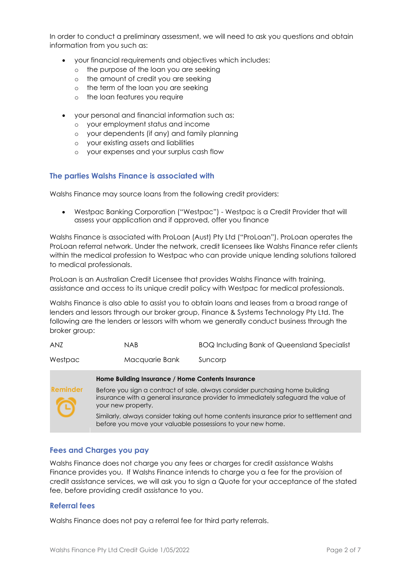In order to conduct a preliminary assessment, we will need to ask you questions and obtain information from you such as:

- your financial requirements and objectives which includes:
	- o the purpose of the loan you are seeking
	- o the amount of credit you are seeking
	- o the term of the loan you are seeking
	- o the loan features you require
- your personal and financial information such as:
	- o your employment status and income
	- o your dependents (if any) and family planning
	- o your existing assets and liabilities
	- o your expenses and your surplus cash flow

# **The parties Walshs Finance is associated with**

Walshs Finance may source loans from the following credit providers:

• Westpac Banking Corporation ("Westpac") - Westpac is a Credit Provider that will assess your application and if approved, offer you finance

Walshs Finance is associated with ProLoan (Aust) Pty Ltd ("ProLoan"). ProLoan operates the ProLoan referral network. Under the network, credit licensees like Walshs Finance refer clients within the medical profession to Westpac who can provide unique lending solutions tailored to medical professionals.

ProLoan is an Australian Credit Licensee that provides Walshs Finance with training, assistance and access to its unique credit policy with Westpac for medical professionals.

Walshs Finance is also able to assist you to obtain loans and leases from a broad range of lenders and lessors through our broker group, Finance & Systems Technology Pty Ltd. The following are the lenders or lessors with whom we generally conduct business through the broker group:

| <b>ANZ</b>      | <b>NAB</b>                                                                                                                                                                              | <b>BOQ Including Bank of Queensland Specialist</b> |
|-----------------|-----------------------------------------------------------------------------------------------------------------------------------------------------------------------------------------|----------------------------------------------------|
| Westpac         | Macquarie Bank                                                                                                                                                                          | Suncorp                                            |
|                 | Home Building Insurance / Home Contents Insurance                                                                                                                                       |                                                    |
| <b>Reminder</b> | Before you sign a contract of sale, always consider purchasing home building<br>insurance with a general insurance provider to immediately safeguard the value of<br>your new property. |                                                    |
|                 | Similarly, always consider taking out home contents insurance prior to settlement and<br>before you move your valuable possessions to your new home.                                    |                                                    |

#### **Fees and Charges you pay**

Walshs Finance does not charge you any fees or charges for credit assistance Walshs Finance provides you. If Walshs Finance intends to charge you a fee for the provision of credit assistance services, we will ask you to sign a Quote for your acceptance of the stated fee, before providing credit assistance to you.

#### **Referral fees**

Walshs Finance does not pay a referral fee for third party referrals.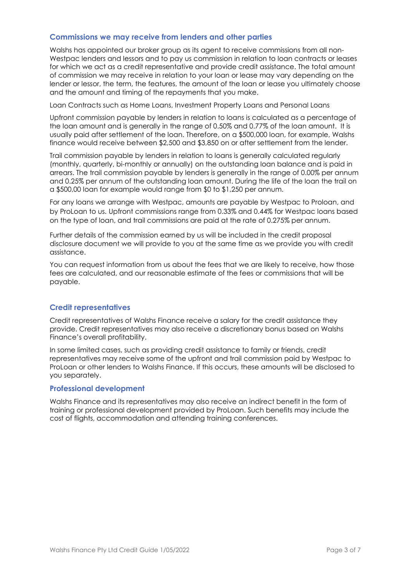## **Commissions we may receive from lenders and other parties**

Walshs has appointed our broker group as its agent to receive commissions from all non-Westpac lenders and lessors and to pay us commission in relation to loan contracts or leases for which we act as a credit representative and provide credit assistance. The total amount of commission we may receive in relation to your loan or lease may vary depending on the lender or lessor, the term, the features, the amount of the loan or lease you ultimately choose and the amount and timing of the repayments that you make.

Loan Contracts such as Home Loans, Investment Property Loans and Personal Loans

Upfront commission payable by lenders in relation to loans is calculated as a percentage of the loan amount and is generally in the range of 0.50% and 0.77% of the loan amount. It is usually paid after settlement of the loan. Therefore, on a \$500,000 loan, for example, Walshs finance would receive between \$2,500 and \$3,850 on or after settlement from the lender.

Trail commission payable by lenders in relation to loans is generally calculated regularly (monthly, quarterly, bi-monthly or annually) on the outstanding loan balance and is paid in arrears. The trail commission payable by lenders is generally in the range of 0.00% per annum and 0.25% per annum of the outstanding loan amount. During the life of the loan the trail on a \$500,00 loan for example would range from \$0 to \$1,250 per annum.

For any loans we arrange with Westpac, amounts are payable by Westpac to Proloan, and by ProLoan to us. Upfront commissions range from 0.33% and 0.44% for Westpac loans based on the type of loan, and trail commissions are paid at the rate of 0.275% per annum.

Further details of the commission earned by us will be included in the credit proposal disclosure document we will provide to you at the same time as we provide you with credit assistance.

You can request information from us about the fees that we are likely to receive, how those fees are calculated, and our reasonable estimate of the fees or commissions that will be payable.

# **Credit representatives**

Credit representatives of Walshs Finance receive a salary for the credit assistance they provide. Credit representatives may also receive a discretionary bonus based on Walshs Finance's overall profitability.

In some limited cases, such as providing credit assistance to family or friends, credit representatives may receive some of the upfront and trail commission paid by Westpac to ProLoan or other lenders to Walshs Finance. If this occurs, these amounts will be disclosed to you separately.

#### **Professional development**

Walshs Finance and its representatives may also receive an indirect benefit in the form of training or professional development provided by ProLoan. Such benefits may include the cost of flights, accommodation and attending training conferences.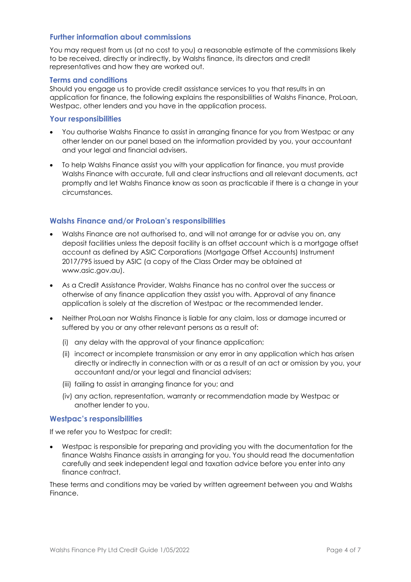# **Further information about commissions**

You may request from us (at no cost to you) a reasonable estimate of the commissions likely to be received, directly or indirectly, by Walshs finance, its directors and credit representatives and how they are worked out.

#### **Terms and conditions**

Should you engage us to provide credit assistance services to you that results in an application for finance, the following explains the responsibilities of Walshs Finance, ProLoan, Westpac, other lenders and you have in the application process.

#### **Your responsibilities**

- You authorise Walshs Finance to assist in arranging finance for you from Westpac or any other lender on our panel based on the information provided by you, your accountant and your legal and financial advisers.
- To help Walshs Finance assist you with your application for finance, you must provide Walshs Finance with accurate, full and clear instructions and all relevant documents, act promptly and let Walshs Finance know as soon as practicable if there is a change in your circumstances.

# **Walshs Finance and/or ProLoan's responsibilities**

- Walshs Finance are not authorised to, and will not arrange for or advise you on, any deposit facilities unless the deposit facility is an offset account which is a mortgage offset account as defined by ASIC Corporations (Mortgage Offset Accounts) Instrument 2017/795 issued by ASIC (a copy of the Class Order may be obtained at www.asic.gov.au).
- As a Credit Assistance Provider, Walshs Finance has no control over the success or otherwise of any finance application they assist you with. Approval of any finance application is solely at the discretion of Westpac or the recommended lender.
- Neither ProLoan nor Walshs Finance is liable for any claim, loss or damage incurred or suffered by you or any other relevant persons as a result of:
	- (i) any delay with the approval of your finance application;
	- (ii) incorrect or incomplete transmission or any error in any application which has arisen directly or indirectly in connection with or as a result of an act or omission by you, your accountant and/or your legal and financial advisers;
	- (iii) failing to assist in arranging finance for you; and
	- (iv) any action, representation, warranty or recommendation made by Westpac or another lender to you.

#### **Westpac's responsibilities**

If we refer you to Westpac for credit:

• Westpac is responsible for preparing and providing you with the documentation for the finance Walshs Finance assists in arranging for you. You should read the documentation carefully and seek independent legal and taxation advice before you enter into any finance contract.

These terms and conditions may be varied by written agreement between you and Walshs Finance.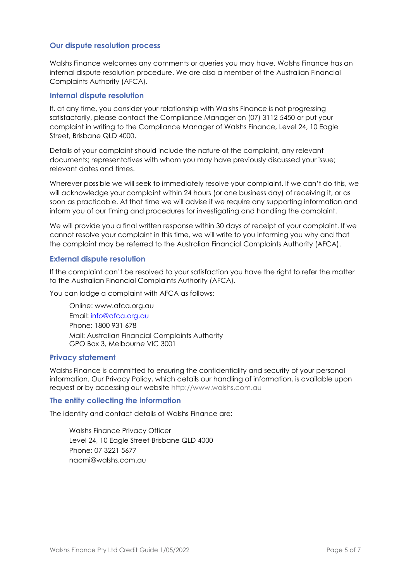# **Our dispute resolution process**

Walshs Finance welcomes any comments or queries you may have. Walshs Finance has an internal dispute resolution procedure. We are also a member of the Australian Financial Complaints Authority (AFCA).

#### **Internal dispute resolution**

If, at any time, you consider your relationship with Walshs Finance is not progressing satisfactorily, please contact the Compliance Manager on (07) 3112 5450 or put your complaint in writing to the Compliance Manager of Walshs Finance, Level 24, 10 Eagle Street, Brisbane QLD 4000.

Details of your complaint should include the nature of the complaint, any relevant documents; representatives with whom you may have previously discussed your issue; relevant dates and times.

Wherever possible we will seek to immediately resolve your complaint. If we can't do this, we will acknowledge your complaint within 24 hours (or one business day) of receiving it, or as soon as practicable. At that time we will advise if we require any supporting information and inform you of our timing and procedures for investigating and handling the complaint.

We will provide you a final written response within 30 days of receipt of your complaint. If we cannot resolve your complaint in this time, we will write to you informing you why and that the complaint may be referred to the Australian Financial Complaints Authority (AFCA).

# **External dispute resolution**

If the complaint can't be resolved to your satisfaction you have the right to refer the matter to the Australian Financial Complaints Authority (AFCA).

You can lodge a complaint with AFCA as follows:

Online: www.afca.org.au Email: [info@afca.org.au](mailto:info@afca.org.au)  Phone: 1800 931 678 Mail: Australian Financial Complaints Authority GPO Box 3, Melbourne VIC 3001

#### **Privacy statement**

Walshs Finance is committed to ensuring the confidentiality and security of your personal information. Our Privacy Policy, which details our handling of information, is available upon request or by accessing our website [http://www.walshs.com.au](http://www.walshs.com.au/)

#### **The entity collecting the information**

The identity and contact details of Walshs Finance are:

Walshs Finance Privacy Officer Level 24, 10 Eagle Street Brisbane QLD 4000 Phone: 07 3221 5677 naomi@walshs.com.au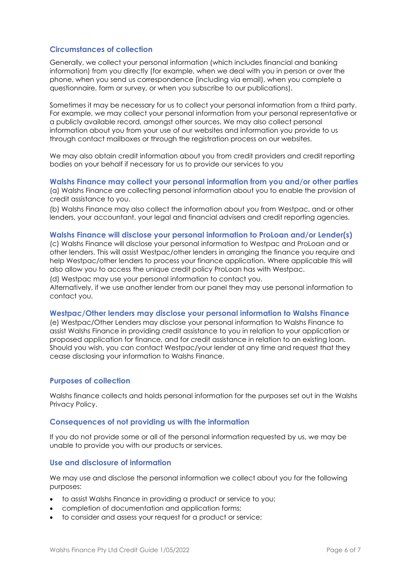# **Circumstances of collection**

Generally, we collect your personal information (which includes financial and banking information) from you directly (for example, when we deal with you in person or over the phone, when you send us correspondence (including via email), when you complete a questionnaire, form or survey, or when you subscribe to our publications).

Sometimes it may be necessary for us to collect your personal information from a third party. For example, we may collect your personal information from your personal representative or a publicly available record, amongst other sources. We may also collect personal information about you from your use of our websites and information you provide to us through contact mailboxes or through the registration process on our websites.

We may also obtain credit information about you from credit providers and credit reporting bodies on your behalf if necessary for us to provide our services to you

**Walshs Finance may collect your personal information from you and/or other parties**  (a) Walshs Finance are collecting personal information about you to enable the provision of credit assistance to you.

(b) Walshs Finance may also collect the information about you from Westpac, and or other lenders, your accountant, your legal and financial advisers and credit reporting agencies.

#### **Walshs Finance will disclose your personal information to ProLoan and/or Lender(s)**

(c) Walshs Finance will disclose your personal information to Westpac and ProLoan and or other lenders. This will assist Westpac/other lenders in arranging the finance you require and help Westpac/other lenders to process your finance application. Where applicable this will also allow you to access the unique credit policy ProLoan has with Westpac.

(d) Westpac may use your personal information to contact you.

Alternatively, if we use another lender from our panel they may use personal information to contact you.

#### **Westpac/Other lenders may disclose your personal information to Walshs Finance**

(e) Westpac/Other Lenders may disclose your personal information to Walshs Finance to assist Walshs Finance in providing credit assistance to you in relation to your application or proposed application for finance, and for credit assistance in relation to an existing loan. Should you wish, you can contact Westpac/your lender at any time and request that they cease disclosing your information to Walshs Finance.

#### **Purposes of collection**

Walshs finance collects and holds personal information for the purposes set out in the Walshs Privacy Policy.

#### **Consequences of not providing us with the information**

If you do not provide some or all of the personal information requested by us, we may be unable to provide you with our products or services.

#### **Use and disclosure of information**

We may use and disclose the personal information we collect about you for the following purposes:

- to assist Walshs Finance in providing a product or service to you;
- completion of documentation and application forms;
- to consider and assess your request for a product or service;